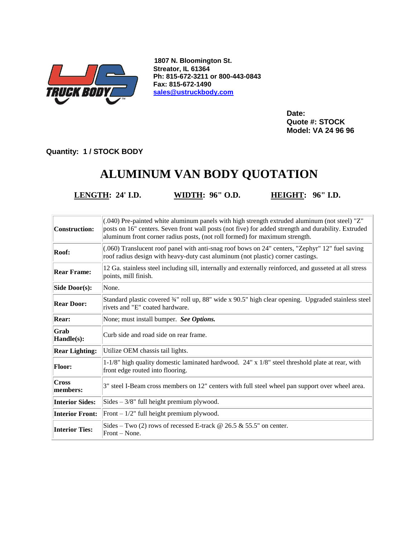

**1807 N. Bloomington St. Streator, IL 61364 Ph: 815-672-3211 or 800-443-0843 Fax: 815-672-1490 [sales@ustruckbody.com](mailto:sales@ustruckbody.com)**

> **Date: Quote #: STOCK Model: VA 24 96 96**

**Quantity: 1 / STOCK BODY**

## **ALUMINUM VAN BODY QUOTATION**

**LENGTH: 24' I.D. WIDTH: 96" O.D. HEIGHT: 96" I.D.**

| Construction:          | (.040) Pre-painted white aluminum panels with high strength extruded aluminum (not steel) "Z"<br>posts on 16" centers. Seven front wall posts (not five) for added strength and durability. Extruded<br>aluminum front corner radius posts, (not roll formed) for maximum strength. |
|------------------------|-------------------------------------------------------------------------------------------------------------------------------------------------------------------------------------------------------------------------------------------------------------------------------------|
| Roof:                  | (.060) Translucent roof panel with anti-snag roof bows on 24" centers, "Zephyr" 12" fuel saving<br>roof radius design with heavy-duty cast aluminum (not plastic) corner castings.                                                                                                  |
| <b>Rear Frame:</b>     | 12 Ga. stainless steel including sill, internally and externally reinforced, and gusseted at all stress<br>points, mill finish.                                                                                                                                                     |
| Side Door(s):          | None.                                                                                                                                                                                                                                                                               |
| <b>Rear Door:</b>      | Standard plastic covered 34" roll up, 88" wide x 90.5" high clear opening. Upgraded stainless steel<br>rivets and "E" coated hardware.                                                                                                                                              |
| <b>Rear:</b>           | None; must install bumper. See Options.                                                                                                                                                                                                                                             |
| Grab<br>Handle(s):     | Curb side and road side on rear frame.                                                                                                                                                                                                                                              |
| <b>Rear Lighting:</b>  | Utilize OEM chassis tail lights.                                                                                                                                                                                                                                                    |
| <b>Floor:</b>          | 1-1/8" high quality domestic laminated hardwood. $24" \times 1/8"$ steel threshold plate at rear, with<br>front edge routed into flooring.                                                                                                                                          |
| Cross<br>members:      | 3" steel I-Beam cross members on 12" centers with full steel wheel pan support over wheel area.                                                                                                                                                                                     |
| <b>Interior Sides:</b> | $Sides - 3/8"$ full height premium plywood.                                                                                                                                                                                                                                         |
| <b>Interior Front:</b> | Front $-1/2$ " full height premium plywood.                                                                                                                                                                                                                                         |
| <b>Interior Ties:</b>  | Sides – Two (2) rows of recessed E-track $@$ 26.5 $&$ 55.5" on center.<br>Front – None.                                                                                                                                                                                             |